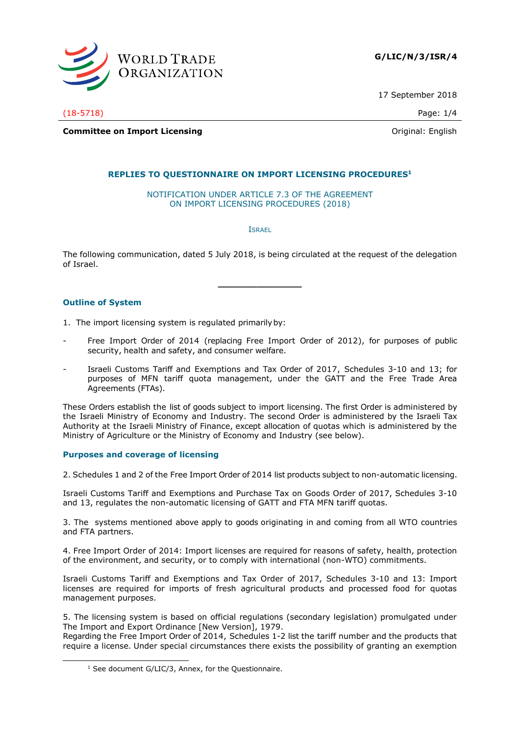

17 September 2018

(18-5718) Page: 1/4

**Committee on Import Licensing Committee on Import Licensing Committee on Import Licensing** 

# **REPLIES TO QUESTIONNAIRE ON IMPORT LICENSING PROCEDURES<sup>1</sup>**

NOTIFICATION UNDER ARTICLE 7.3 OF THE AGREEMENT ON IMPORT LICENSING PROCEDURES (2018)

ISRAEL

The following communication, dated 5 July 2018, is being circulated at the request of the delegation of Israel.

**\_\_\_\_\_\_\_\_\_\_\_\_\_\_\_**

# **Outline of System**

-

- 1. The import licensing system is regulated primarilyby:
- Free Import Order of 2014 (replacing Free Import Order of 2012), for purposes of public security, health and safety, and consumer welfare.
- Israeli Customs Tariff and Exemptions and Tax Order of 2017, Schedules 3-10 and 13; for purposes of MFN tariff quota management, under the GATT and the Free Trade Area Agreements (FTAs).

These Orders establish the list of goods subject to import licensing. The first Order is administered by the Israeli Ministry of Economy and Industry. The second Order is administered by the Israeli Tax Authority at the Israeli Ministry of Finance, except allocation of quotas which is administered by the Ministry of Agriculture or the Ministry of Economy and Industry (see below).

# **Purposes and coverage of licensing**

2. Schedules 1 and 2 of the Free Import Order of 2014 list products subject to non-automatic licensing.

Israeli Customs Tariff and Exemptions and Purchase Tax on Goods Order of 2017, Schedules 3-10 and 13, regulates the non-automatic licensing of GATT and FTA MFN tariff quotas.

3. The systems mentioned above apply to goods originating in and coming from all WTO countries and FTA partners.

4. Free Import Order of 2014: Import licenses are required for reasons of safety, health, protection of the environment, and security, or to comply with international (non-WTO) commitments.

Israeli Customs Tariff and Exemptions and Tax Order of 2017, Schedules 3-10 and 13: Import licenses are required for imports of fresh agricultural products and processed food for quotas management purposes.

5. The licensing system is based on official regulations (secondary legislation) promulgated under The Import and Export Ordinance [New Version], 1979.

Regarding the Free Import Order of 2014, Schedules 1-2 list the tariff number and the products that require a license. Under special circumstances there exists the possibility of granting an exemption

 $1$  See document G/LIC/3, Annex, for the Questionnaire.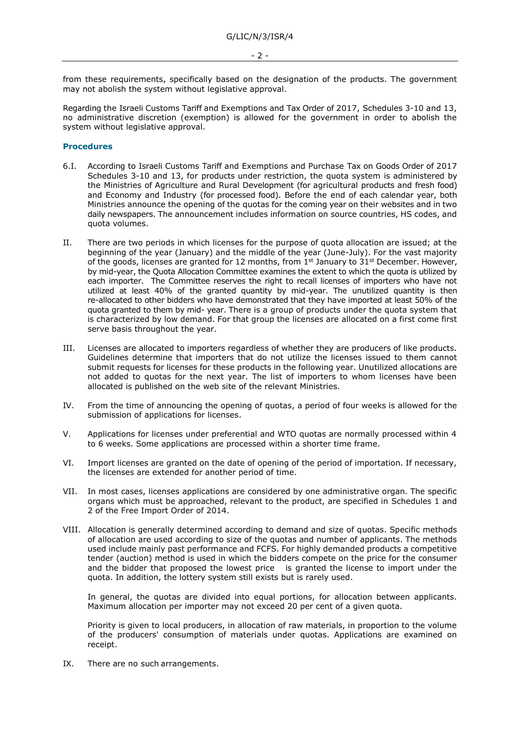from these requirements, specifically based on the designation of the products. The government may not abolish the system without legislative approval.

Regarding the Israeli Customs Tariff and Exemptions and Tax Order of 2017, Schedules 3-10 and 13, no administrative discretion (exemption) is allowed for the government in order to abolish the system without legislative approval.

#### **Procedures**

- 6.I. According to Israeli Customs Tariff and Exemptions and Purchase Tax on Goods Order of 2017 Schedules 3-10 and 13, for products under restriction, the quota system is administered by the Ministries of Agriculture and Rural Development (for agricultural products and fresh food) and Economy and Industry (for processed food). Before the end of each calendar year, both Ministries announce the opening of the quotas for the coming year on their websites and in two daily newspapers. The announcement includes information on source countries, HS codes, and quota volumes.
- II. There are two periods in which licenses for the purpose of quota allocation are issued; at the beginning of the year (January) and the middle of the year (June-July). For the vast majority of the goods, licenses are granted for 12 months, from  $1<sup>st</sup>$  January to  $31<sup>st</sup>$  December. However, by mid-year, the Quota Allocation Committee examines the extent to which the quota is utilized by each importer. The Committee reserves the right to recall licenses of importers who have not utilized at least 40% of the granted quantity by mid-year. The unutilized quantity is then re-allocated to other bidders who have demonstrated that they have imported at least 50% of the quota granted to them by mid- year. There is a group of products under the quota system that is characterized by low demand. For that group the licenses are allocated on a first come first serve basis throughout the year.
- III. Licenses are allocated to importers regardless of whether they are producers of like products. Guidelines determine that importers that do not utilize the licenses issued to them cannot submit requests for licenses for these products in the following year. Unutilized allocations are not added to quotas for the next year. The list of importers to whom licenses have been allocated is published on the web site of the relevant Ministries.
- IV. From the time of announcing the opening of quotas, a period of four weeks is allowed for the submission of applications for licenses.
- V. Applications for licenses under preferential and WTO quotas are normally processed within 4 to 6 weeks. Some applications are processed within a shorter time frame.
- VI. Import licenses are granted on the date of opening of the period of importation. If necessary, the licenses are extended for another period of time.
- VII. In most cases, licenses applications are considered by one administrative organ. The specific organs which must be approached, relevant to the product, are specified in Schedules 1 and 2 of the Free Import Order of 2014.
- VIII. Allocation is generally determined according to demand and size of quotas. Specific methods of allocation are used according to size of the quotas and number of applicants. The methods used include mainly past performance and FCFS. For highly demanded products a competitive tender (auction) method is used in which the bidders compete on the price for the consumer and the bidder that proposed the lowest price is granted the license to import under the quota. In addition, the lottery system still exists but is rarely used.

In general, the quotas are divided into equal portions, for allocation between applicants. Maximum allocation per importer may not exceed 20 per cent of a given quota.

Priority is given to local producers, in allocation of raw materials, in proportion to the volume of the producers' consumption of materials under quotas. Applications are examined on receipt.

IX. There are no such arrangements.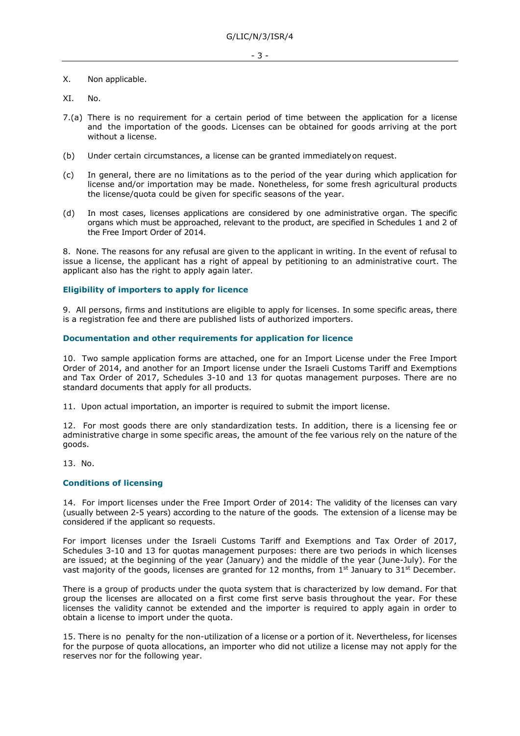# X. Non applicable.

- XI. No.
- 7.(a) There is no requirement for a certain period of time between the application for a license and the importation of the goods. Licenses can be obtained for goods arriving at the port without a license.
- (b) Under certain circumstances, a license can be granted immediatelyon request.
- (c) In general, there are no limitations as to the period of the year during which application for license and/or importation may be made. Nonetheless, for some fresh agricultural products the license/quota could be given for specific seasons of the year.
- (d) In most cases, licenses applications are considered by one administrative organ. The specific organs which must be approached, relevant to the product, are specified in Schedules 1 and 2 of the Free Import Order of 2014.

8. None. The reasons for any refusal are given to the applicant in writing. In the event of refusal to issue a license, the applicant has a right of appeal by petitioning to an administrative court. The applicant also has the right to apply again later.

# **Eligibility of importers to apply for licence**

9. All persons, firms and institutions are eligible to apply for licenses. In some specific areas, there is a registration fee and there are published lists of authorized importers.

# **Documentation and other requirements for application for licence**

10. Two sample application forms are attached, one for an Import License under the Free Import Order of 2014, and another for an Import license under the Israeli Customs Tariff and Exemptions and Tax Order of 2017, Schedules 3-10 and 13 for quotas management purposes. There are no standard documents that apply for all products.

11. Upon actual importation, an importer is required to submit the import license.

12. For most goods there are only standardization tests. In addition, there is a licensing fee or administrative charge in some specific areas, the amount of the fee various rely on the nature of the goods.

13. No.

# **Conditions of licensing**

14. For import licenses under the Free Import Order of 2014: The validity of the licenses can vary (usually between 2-5 years) according to the nature of the goods. The extension of a license may be considered if the applicant so requests.

For import licenses under the Israeli Customs Tariff and Exemptions and Tax Order of 2017, Schedules 3-10 and 13 for quotas management purposes: there are two periods in which licenses are issued; at the beginning of the year (January) and the middle of the year (June-July). For the vast majority of the goods, licenses are granted for 12 months, from  $1<sup>st</sup>$  January to 31<sup>st</sup> December.

There is a group of products under the quota system that is characterized by low demand. For that group the licenses are allocated on a first come first serve basis throughout the year. For these licenses the validity cannot be extended and the importer is required to apply again in order to obtain a license to import under the quota.

15. There is no penalty for the non-utilization of a license or a portion of it. Nevertheless, for licenses for the purpose of quota allocations, an importer who did not utilize a license may not apply for the reserves nor for the following year.